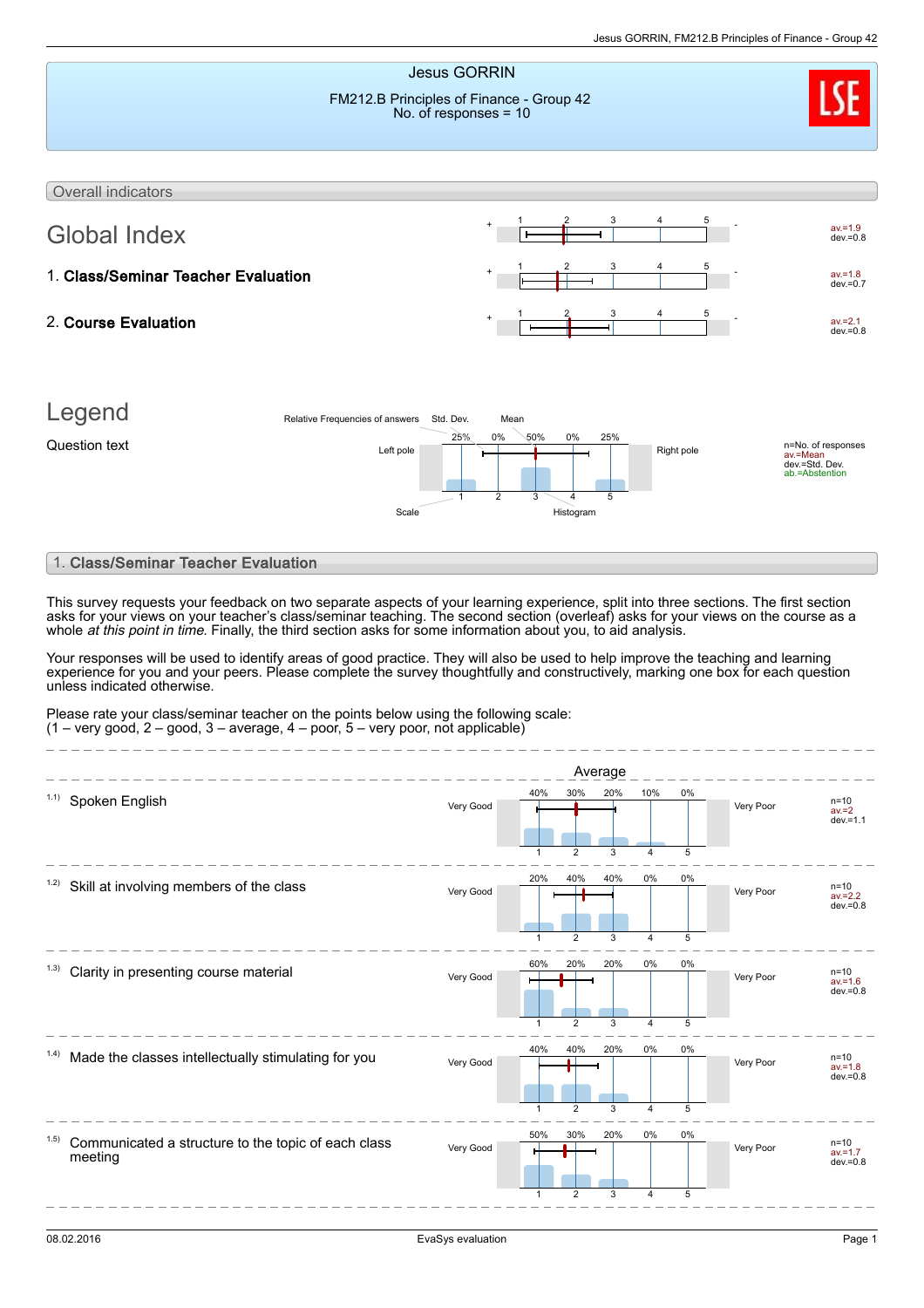

1

2

3

4

 $\frac{1}{5}$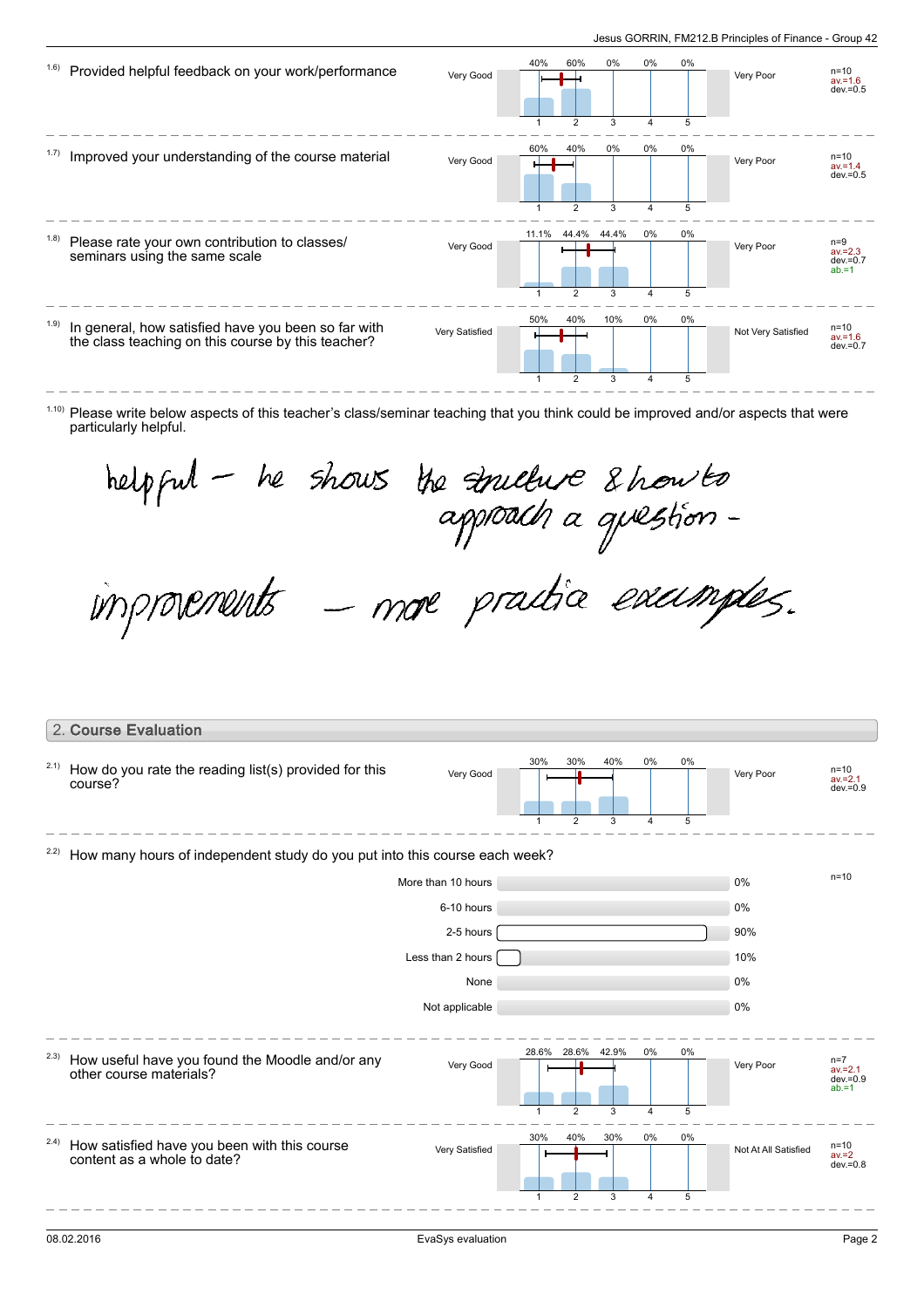| 1.6)  | Provided helpful feedback on your work/performance                                                        | Very Good      | 40%             | 60%                                       | 0%              | 0%           | 0%           | Very Poor          | $n = 10$<br>$av = 1.6$<br>$dev = 0.5$          |
|-------|-----------------------------------------------------------------------------------------------------------|----------------|-----------------|-------------------------------------------|-----------------|--------------|--------------|--------------------|------------------------------------------------|
| 1.7)  | Improved your understanding of the course material                                                        | Very Good      | 1<br>60%        | $\overline{2}$<br>40%                     | 3<br>0%         | 4<br>0%      | 5<br>0%      | Very Poor          | $n = 10$<br>$av = 1.4$<br>$dev = 0.5$          |
| (1.8) | Please rate your own contribution to classes/<br>seminars using the same scale                            | Very Good      | 1<br>11.1%<br>1 | $\overline{2}$<br>44.4%<br>$\overline{2}$ | 3<br>44.4%<br>3 | 4<br>0%<br>4 | 5<br>0%<br>5 | Very Poor          | $n=9$<br>$av = 2.3$<br>$dev = 0.7$<br>$ab = 1$ |
| (1.9) | In general, how satisfied have you been so far with<br>the class teaching on this course by this teacher? | Very Satisfied | 50%<br>1        | 40%<br>$\overline{2}$                     | 10%<br>3        | 0%<br>4      | 0%<br>5      | Not Very Satisfied | $n = 10$<br>$av = 1.6$<br>$dev = 0.7$          |

 $1.10$ ) Please write below aspects of this teacher's class/seminar teaching that you think could be improved and/or aspects that were particularly helpful.

helpful - he shows the indice & how to<br>approach a question -<br>improvements - more practice excumples.

|      | 2. Course Evaluation                                                        |                    |                     |                               |          |                      |         |                      |                                                |
|------|-----------------------------------------------------------------------------|--------------------|---------------------|-------------------------------|----------|----------------------|---------|----------------------|------------------------------------------------|
| 2.1) | How do you rate the reading list(s) provided for this<br>course?            | Very Good          | 30%<br>$\mathbf{1}$ | 30%<br>$\overline{2}$         | 40%<br>3 | 0%<br>$\overline{4}$ | 0%<br>5 | Very Poor            | $n=10$<br>$av = 2.1$<br>$dev = 0.9$            |
| 2.2) | How many hours of independent study do you put into this course each week?  |                    |                     |                               |          |                      |         |                      |                                                |
|      |                                                                             | More than 10 hours |                     |                               |          |                      |         | 0%                   | $n = 10$                                       |
|      |                                                                             | 6-10 hours         |                     |                               |          |                      |         | 0%                   |                                                |
|      |                                                                             | 2-5 hours          |                     |                               |          |                      |         | 90%                  |                                                |
|      |                                                                             | Less than 2 hours  |                     |                               |          |                      |         | 10%                  |                                                |
|      |                                                                             | None               |                     |                               |          |                      |         | 0%                   |                                                |
|      |                                                                             | Not applicable     |                     |                               |          |                      |         | 0%                   |                                                |
| 2.3) | How useful have you found the Moodle and/or any<br>other course materials?  | Very Good          | 28.6%               | 28.6% 42.9%<br>$\mathfrak{p}$ | 3        | 0%<br>4              | 0%<br>5 | Very Poor            | $n=7$<br>$av = 2.1$<br>$dev = 0.9$<br>$ab = 1$ |
| 2.4) | How satisfied have you been with this course<br>content as a whole to date? | Very Satisfied     | 30%                 | 40%<br>$\overline{2}$         | 30%<br>3 | 0%<br>4              | 0%<br>5 | Not At All Satisfied | $n=10$<br>$av = 2$<br>$dev = 0.8$              |
|      |                                                                             |                    |                     |                               |          |                      |         |                      |                                                |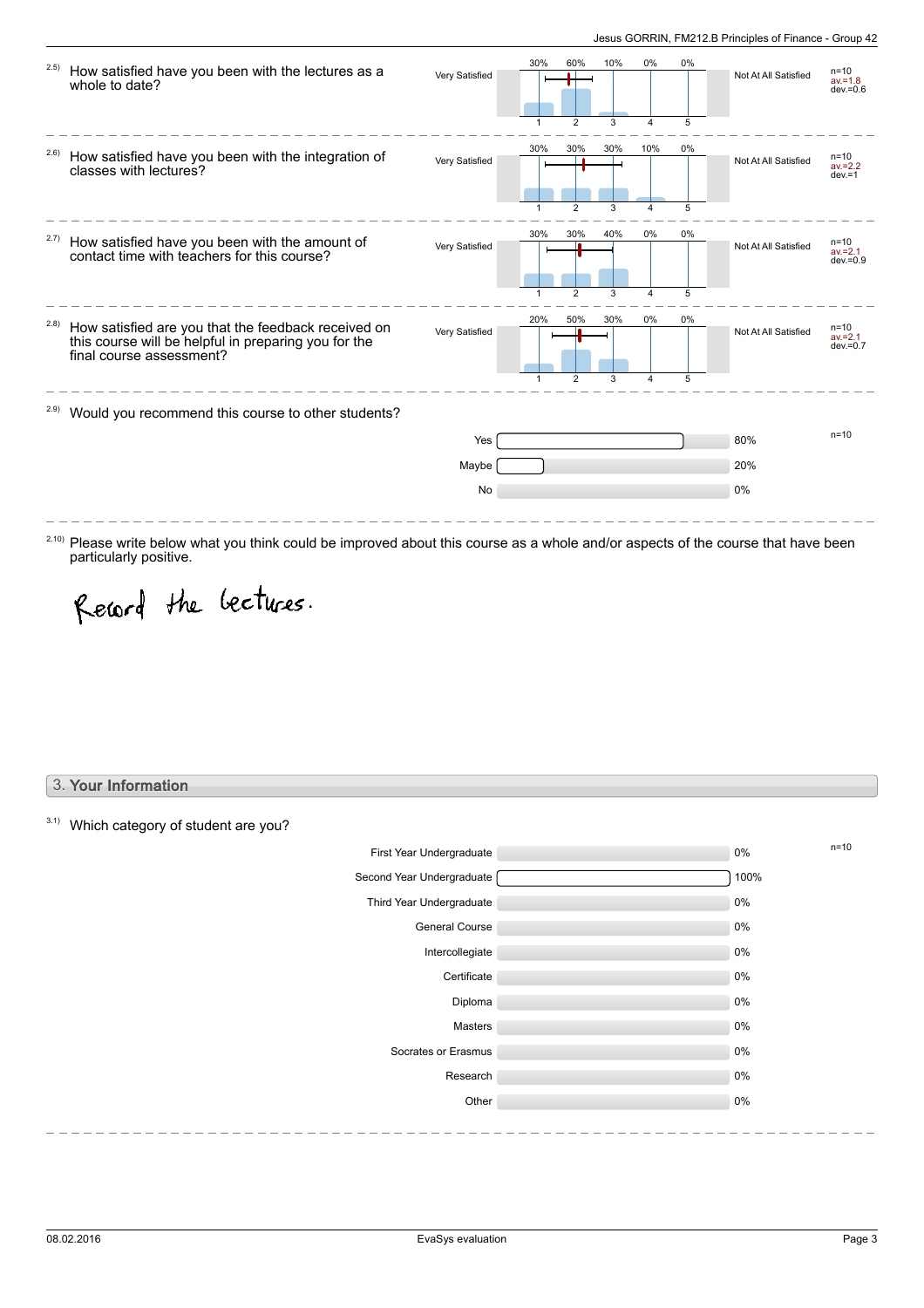| 2.5)  | How satisfied have you been with the lectures as a<br>whole to date?                                                                    | Very Satisfied | 30%      | 60%                  | 10%           | 0%           | 0%           | Not At All Satisfied | $n = 10$<br>$av = 1.8$<br>$dev = 0.6$ |
|-------|-----------------------------------------------------------------------------------------------------------------------------------------|----------------|----------|----------------------|---------------|--------------|--------------|----------------------|---------------------------------------|
| 2.6)  | How satisfied have you been with the integration of<br>classes with lectures?                                                           | Very Satisfied | 30%      | 30%                  | 3<br>30%      | Δ<br>10%     | 5<br>$0\%$   | Not At All Satisfied | n=10<br>$av = 2.2$<br>$dev = 1$       |
| 2.7)  | How satisfied have you been with the amount of<br>contact time with teachers for this course?                                           | Very Satisfied | 30%<br>1 | 30%<br>$\mathcal{P}$ | 3<br>40%<br>3 | 4<br>0%<br>4 | 5<br>0%<br>5 | Not At All Satisfied | $n = 10$<br>$av = 2.1$<br>$dev = 0.9$ |
| (2.8) | How satisfied are you that the feedback received on<br>this course will be helpful in preparing you for the<br>final course assessment? | Very Satisfied | 20%      | 50%                  | 30%<br>3      | 0%<br>4      | $0\%$<br>5   | Not At All Satisfied | $n = 10$<br>$av = 2.1$<br>$dev = 0.7$ |
| 2.9)  | Would you recommend this course to other students?                                                                                      |                |          |                      |               |              |              |                      |                                       |
|       |                                                                                                                                         | Yes            |          |                      |               |              |              | 80%                  | $n = 10$                              |
|       |                                                                                                                                         | Maybe          |          |                      |               |              |              | 20%                  |                                       |
|       |                                                                                                                                         | No             |          |                      |               |              |              | 0%                   |                                       |

Record the bectures.

### 3. Your Information

 $3.1)$  Which category of student are you?

particularly positive.

| First Year Undergraduate  | 0%   | $n=10$ |
|---------------------------|------|--------|
| Second Year Undergraduate | 100% |        |
| Third Year Undergraduate  | 0%   |        |
| <b>General Course</b>     | 0%   |        |
| Intercollegiate           | 0%   |        |
| Certificate               | 0%   |        |
| Diploma                   | 0%   |        |
| Masters                   | 0%   |        |
| Socrates or Erasmus       | 0%   |        |
| Research                  | 0%   |        |
| Other                     | 0%   |        |
|                           |      |        |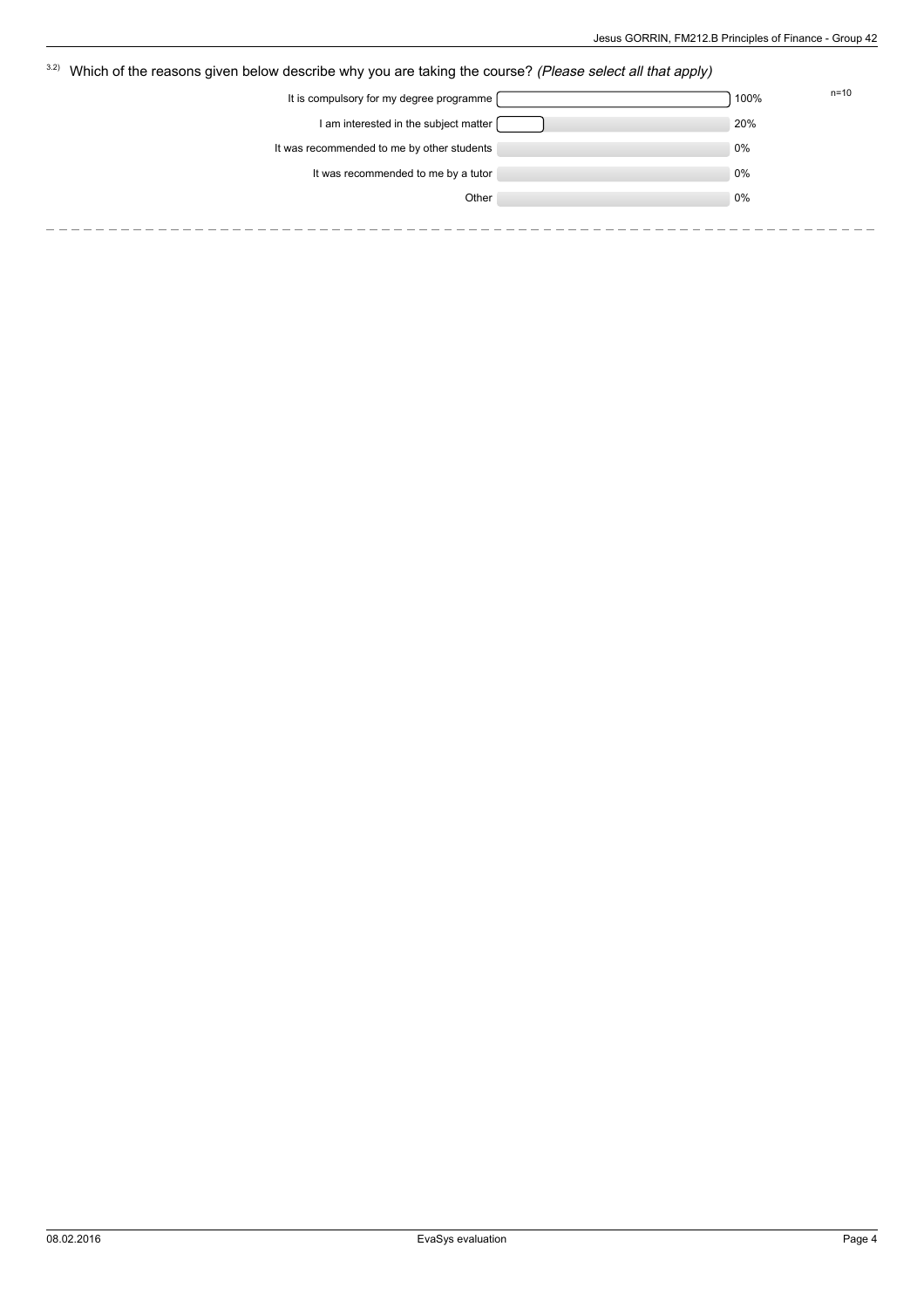| 3.2)<br>Which of the reasons given below describe why you are taking the course? (Please select all that apply) |      |          |  |  |  |
|-----------------------------------------------------------------------------------------------------------------|------|----------|--|--|--|
| It is compulsory for my degree programme                                                                        | 100% | $n = 10$ |  |  |  |
| I am interested in the subject matter                                                                           | 20%  |          |  |  |  |
| It was recommended to me by other students                                                                      | 0%   |          |  |  |  |
| It was recommended to me by a tutor                                                                             | 0%   |          |  |  |  |
| Other                                                                                                           | 0%   |          |  |  |  |
|                                                                                                                 |      |          |  |  |  |